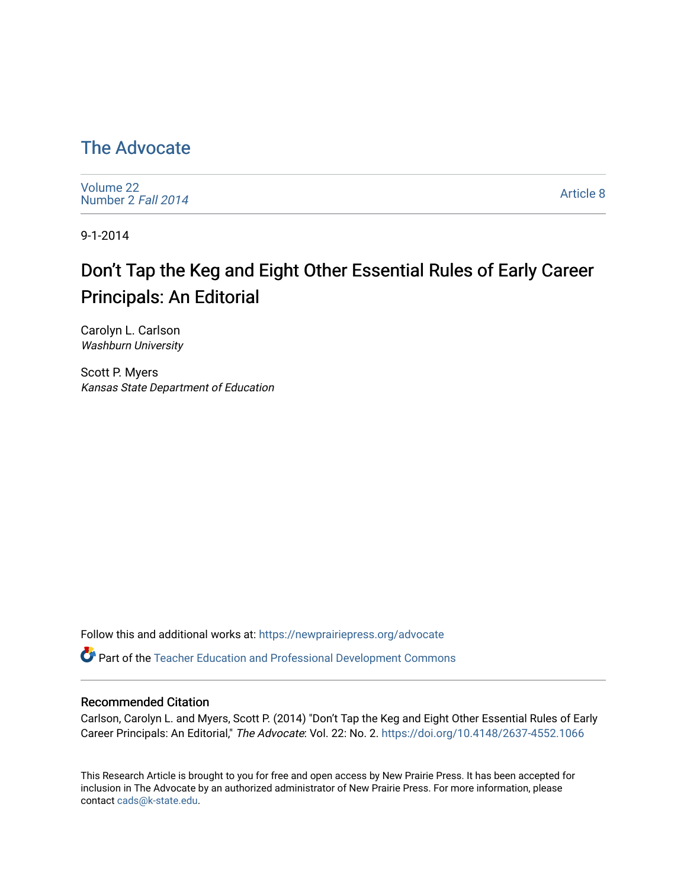## [The Advocate](https://newprairiepress.org/advocate)

[Volume 22](https://newprairiepress.org/advocate/vol22) [Number 2](https://newprairiepress.org/advocate/vol22/iss2) Fall 2014

[Article 8](https://newprairiepress.org/advocate/vol22/iss2/8) 

9-1-2014

## Don't Tap the Keg and Eight Other Essential Rules of Early Career Principals: An Editorial

Carolyn L. Carlson Washburn University

Scott P. Myers Kansas State Department of Education

Follow this and additional works at: [https://newprairiepress.org/advocate](https://newprairiepress.org/advocate?utm_source=newprairiepress.org%2Fadvocate%2Fvol22%2Fiss2%2F8&utm_medium=PDF&utm_campaign=PDFCoverPages) 

Part of the [Teacher Education and Professional Development Commons](http://network.bepress.com/hgg/discipline/803?utm_source=newprairiepress.org%2Fadvocate%2Fvol22%2Fiss2%2F8&utm_medium=PDF&utm_campaign=PDFCoverPages) 

#### Recommended Citation

Carlson, Carolyn L. and Myers, Scott P. (2014) "Don't Tap the Keg and Eight Other Essential Rules of Early Career Principals: An Editorial," The Advocate: Vol. 22: No. 2. https://doi.org/10.4148/2637-4552.1066

This Research Article is brought to you for free and open access by New Prairie Press. It has been accepted for inclusion in The Advocate by an authorized administrator of New Prairie Press. For more information, please contact [cads@k-state.edu](mailto:cads@k-state.edu).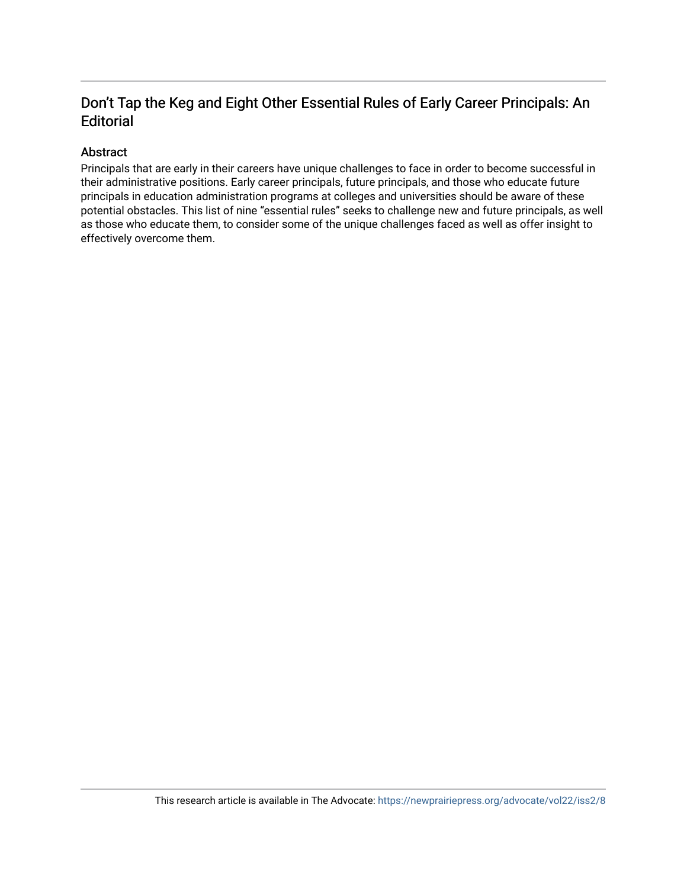#### Don't Tap the Keg and Eight Other Essential Rules of Early Career Principals: An **Editorial**

#### Abstract

Principals that are early in their careers have unique challenges to face in order to become successful in their administrative positions. Early career principals, future principals, and those who educate future principals in education administration programs at colleges and universities should be aware of these potential obstacles. This list of nine "essential rules" seeks to challenge new and future principals, as well as those who educate them, to consider some of the unique challenges faced as well as offer insight to effectively overcome them.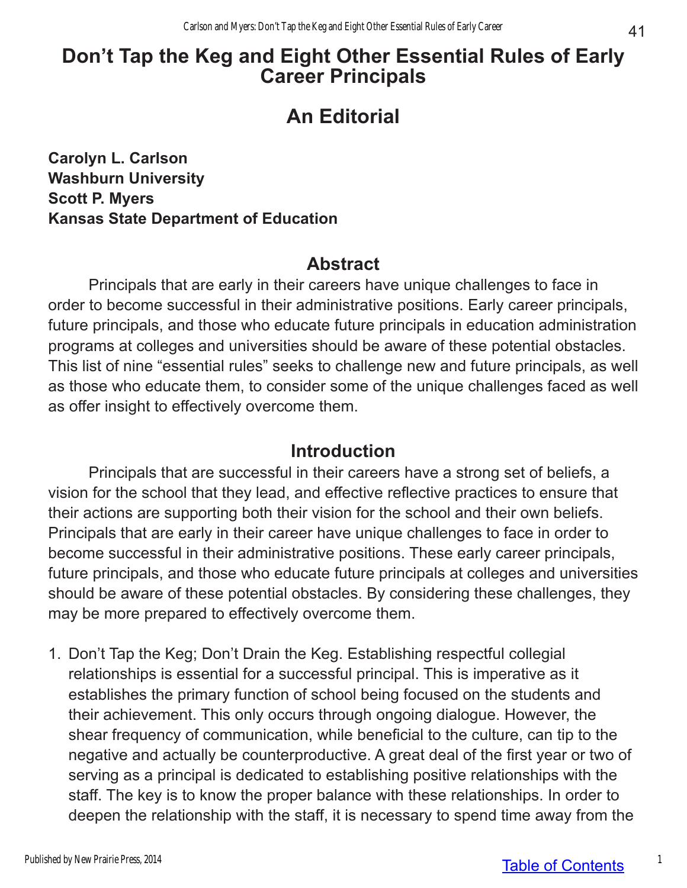## **Don't Tap the Keg and Eight Other Essential Rules of Early Career Principals**

# **An Editorial**

**Carolyn L. Carlson Washburn University Scott P. Myers Kansas State Department of Education**

## **Abstract**

Principals that are early in their careers have unique challenges to face in order to become successful in their administrative positions. Early career principals, future principals, and those who educate future principals in education administration programs at colleges and universities should be aware of these potential obstacles. This list of nine "essential rules" seeks to challenge new and future principals, as well as those who educate them, to consider some of the unique challenges faced as well as offer insight to effectively overcome them.

### **Introduction**

Principals that are successful in their careers have a strong set of beliefs, a vision for the school that they lead, and effective reflective practices to ensure that their actions are supporting both their vision for the school and their own beliefs. Principals that are early in their career have unique challenges to face in order to become successful in their administrative positions. These early career principals, future principals, and those who educate future principals at colleges and universities should be aware of these potential obstacles. By considering these challenges, they may be more prepared to effectively overcome them.

1. Don't Tap the Keg; Don't Drain the Keg. Establishing respectful collegial relationships is essential for a successful principal. This is imperative as it establishes the primary function of school being focused on the students and their achievement. This only occurs through ongoing dialogue. However, the shear frequency of communication, while beneficial to the culture, can tip to the negative and actually be counterproductive. A great deal of the first year or two of serving as a principal is dedicated to establishing positive relationships with the staff. The key is to know the proper balance with these relationships. In order to deepen the relationship with the staff, it is necessary to spend time away from the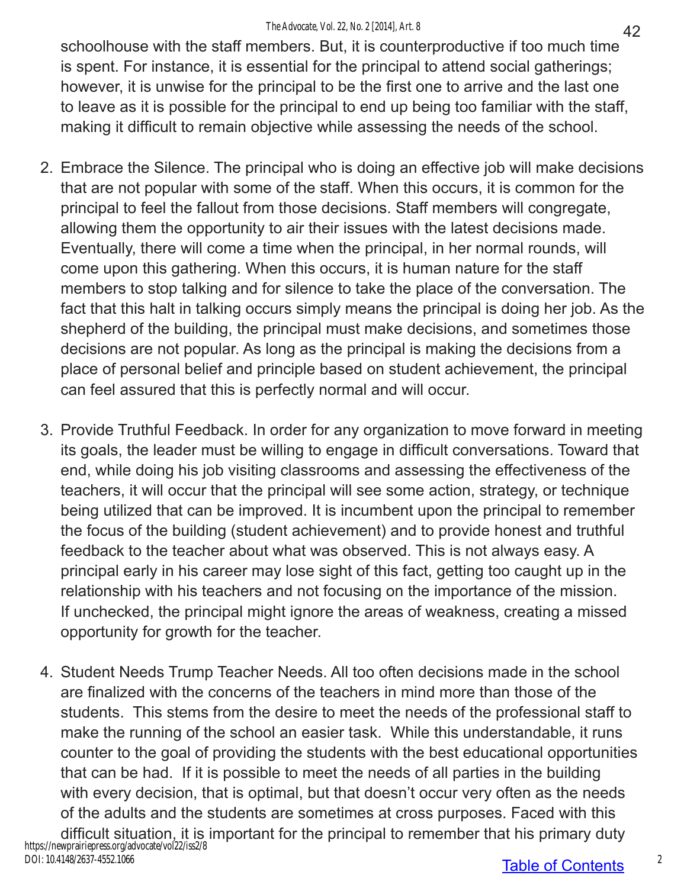schoolhouse with the staff members. But, it is counterproductive if too much time is spent. For instance, it is essential for the principal to attend social gatherings; however, it is unwise for the principal to be the first one to arrive and the last one to leave as it is possible for the principal to end up being too familiar with the staff, making it difficult to remain objective while assessing the needs of the school.

- 2. Embrace the Silence. The principal who is doing an effective job will make decisions that are not popular with some of the staff. When this occurs, it is common for the principal to feel the fallout from those decisions. Staff members will congregate, allowing them the opportunity to air their issues with the latest decisions made. Eventually, there will come a time when the principal, in her normal rounds, will come upon this gathering. When this occurs, it is human nature for the staff members to stop talking and for silence to take the place of the conversation. The fact that this halt in talking occurs simply means the principal is doing her job. As the shepherd of the building, the principal must make decisions, and sometimes those decisions are not popular. As long as the principal is making the decisions from a place of personal belief and principle based on student achievement, the principal can feel assured that this is perfectly normal and will occur.
- 3. Provide Truthful Feedback. In order for any organization to move forward in meeting its goals, the leader must be willing to engage in difficult conversations. Toward that end, while doing his job visiting classrooms and assessing the effectiveness of the teachers, it will occur that the principal will see some action, strategy, or technique being utilized that can be improved. It is incumbent upon the principal to remember the focus of the building (student achievement) and to provide honest and truthful feedback to the teacher about what was observed. This is not always easy. A principal early in his career may lose sight of this fact, getting too caught up in the relationship with his teachers and not focusing on the importance of the mission. If unchecked, the principal might ignore the areas of weakness, creating a missed opportunity for growth for the teacher.
- 4. Student Needs Trump Teacher Needs. All too often decisions made in the school are finalized with the concerns of the teachers in mind more than those of the students. This stems from the desire to meet the needs of the professional staff to make the running of the school an easier task. While this understandable, it runs counter to the goal of providing the students with the best educational opportunities that can be had. If it is possible to meet the needs of all parties in the building with every decision, that is optimal, but that doesn't occur very often as the needs of the adults and the students are sometimes at cross purposes. Faced with this difficult situation, it is important for the principal to remember that his primary duty https://newprairiepress.org/advocate/vol22/iss2/8 DOI: 10.4148/2637-4552.1066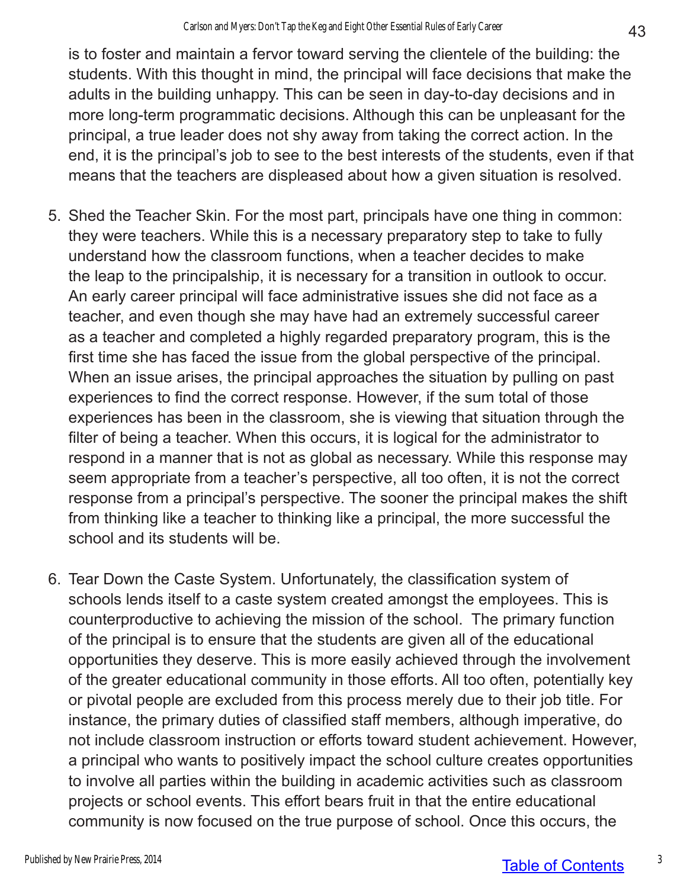is to foster and maintain a fervor toward serving the clientele of the building: the students. With this thought in mind, the principal will face decisions that make the adults in the building unhappy. This can be seen in day-to-day decisions and in more long-term programmatic decisions. Although this can be unpleasant for the principal, a true leader does not shy away from taking the correct action. In the end, it is the principal's job to see to the best interests of the students, even if that means that the teachers are displeased about how a given situation is resolved.

- 5. Shed the Teacher Skin. For the most part, principals have one thing in common: they were teachers. While this is a necessary preparatory step to take to fully understand how the classroom functions, when a teacher decides to make the leap to the principalship, it is necessary for a transition in outlook to occur. An early career principal will face administrative issues she did not face as a teacher, and even though she may have had an extremely successful career as a teacher and completed a highly regarded preparatory program, this is the first time she has faced the issue from the global perspective of the principal. When an issue arises, the principal approaches the situation by pulling on past experiences to find the correct response. However, if the sum total of those experiences has been in the classroom, she is viewing that situation through the filter of being a teacher. When this occurs, it is logical for the administrator to respond in a manner that is not as global as necessary. While this response may seem appropriate from a teacher's perspective, all too often, it is not the correct response from a principal's perspective. The sooner the principal makes the shift from thinking like a teacher to thinking like a principal, the more successful the school and its students will be.
- 6. Tear Down the Caste System. Unfortunately, the classification system of schools lends itself to a caste system created amongst the employees. This is counterproductive to achieving the mission of the school. The primary function of the principal is to ensure that the students are given all of the educational opportunities they deserve. This is more easily achieved through the involvement of the greater educational community in those efforts. All too often, potentially key or pivotal people are excluded from this process merely due to their job title. For instance, the primary duties of classified staff members, although imperative, do not include classroom instruction or efforts toward student achievement. However, a principal who wants to positively impact the school culture creates opportunities to involve all parties within the building in academic activities such as classroom projects or school events. This effort bears fruit in that the entire educational community is now focused on the true purpose of school. Once this occurs, the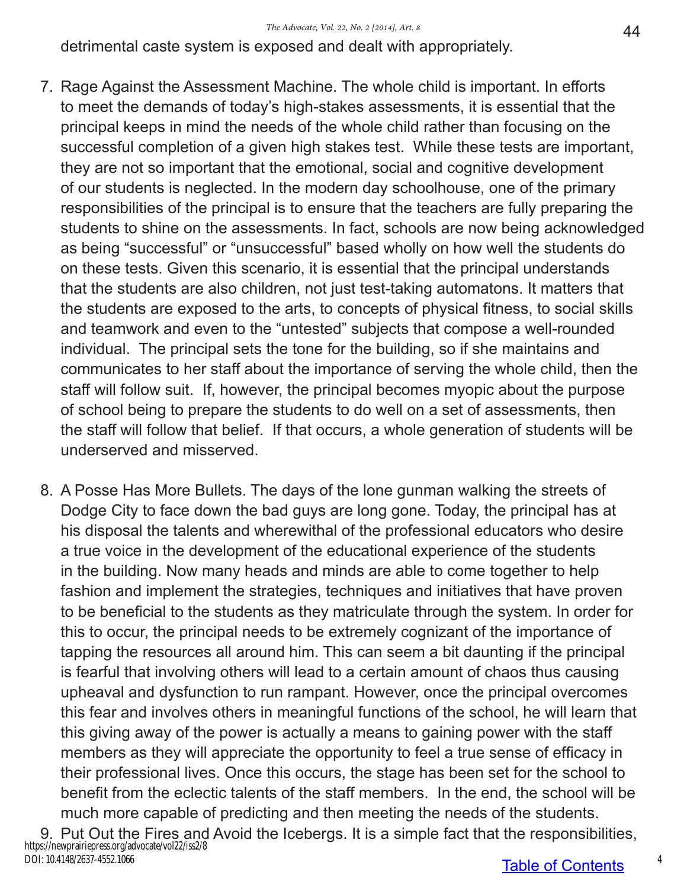detrimental caste system is exposed and dealt with appropriately.

- 7. Rage Against the Assessment Machine. The whole child is important. In efforts to meet the demands of today's high-stakes assessments, it is essential that the principal keeps in mind the needs of the whole child rather than focusing on the successful completion of a given high stakes test. While these tests are important, they are not so important that the emotional, social and cognitive development of our students is neglected. In the modern day schoolhouse, one of the primary responsibilities of the principal is to ensure that the teachers are fully preparing the students to shine on the assessments. In fact, schools are now being acknowledged as being "successful" or "unsuccessful" based wholly on how well the students do on these tests. Given this scenario, it is essential that the principal understands that the students are also children, not just test-taking automatons. It matters that the students are exposed to the arts, to concepts of physical fitness, to social skills and teamwork and even to the "untested" subjects that compose a well-rounded individual. The principal sets the tone for the building, so if she maintains and communicates to her staff about the importance of serving the whole child, then the staff will follow suit. If, however, the principal becomes myopic about the purpose of school being to prepare the students to do well on a set of assessments, then the staff will follow that belief. If that occurs, a whole generation of students will be underserved and misserved.
- 8. A Posse Has More Bullets. The days of the lone gunman walking the streets of Dodge City to face down the bad guys are long gone. Today, the principal has at his disposal the talents and wherewithal of the professional educators who desire a true voice in the development of the educational experience of the students in the building. Now many heads and minds are able to come together to help fashion and implement the strategies, techniques and initiatives that have proven to be beneficial to the students as they matriculate through the system. In order for this to occur, the principal needs to be extremely cognizant of the importance of tapping the resources all around him. This can seem a bit daunting if the principal is fearful that involving others will lead to a certain amount of chaos thus causing upheaval and dysfunction to run rampant. However, once the principal overcomes this fear and involves others in meaningful functions of the school, he will learn that this giving away of the power is actually a means to gaining power with the staff members as they will appreciate the opportunity to feel a true sense of efficacy in their professional lives. Once this occurs, the stage has been set for the school to benefit from the eclectic talents of the staff members. In the end, the school will be much more capable of predicting and then meeting the needs of the students.
- 9. Put Out the Fires and Avoid the Icebergs. It is a simple fact that the responsibilities, https://newprairiepress.org/advocate/vol22/iss2/8 DOI: 10.4148/2637-4552.1066